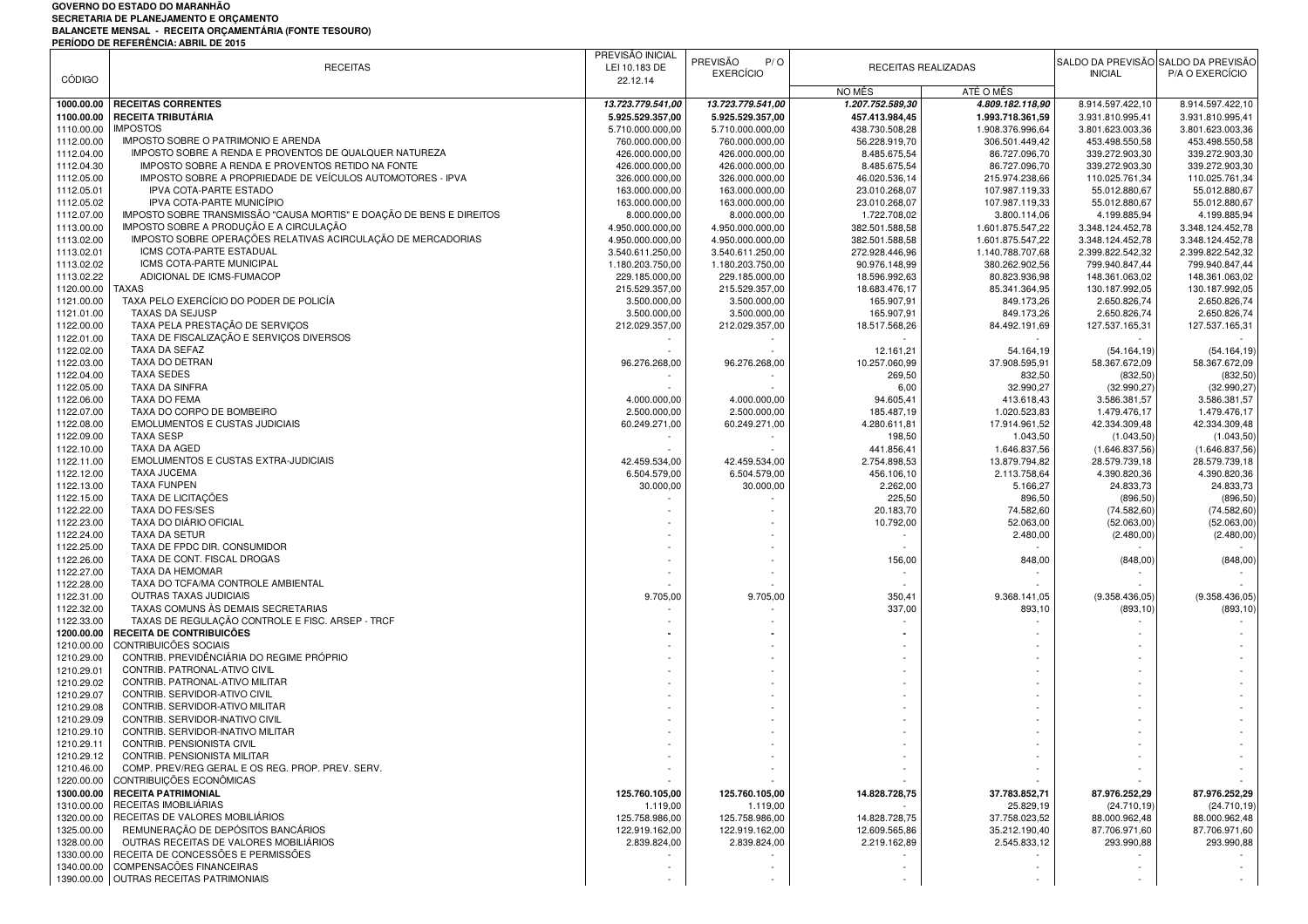## **GOVERNO DO ESTADO DO MARANHÃO SECRETARIA DE PLANEJAMENTO E ORÇAMENTO BALANCETE MENSAL - RECEITA ORÇAMENTÁRIA (FONTE TESOURO) PERÍODO DE REFERÊNCIA: ABRIL DE 2015**

|               | END O DE NETENTOIRE ADITE DE LOT                                     | PREVISÃO INICIAL  |                   |                  |                     |                  |                                     |
|---------------|----------------------------------------------------------------------|-------------------|-------------------|------------------|---------------------|------------------|-------------------------------------|
|               | <b>RECEITAS</b>                                                      | LEI 10.183 DE     | PREVISÃO<br>P/O   |                  | RECEITAS REALIZADAS |                  | SALDO DA PREVISÃO SALDO DA PREVISÃO |
| <b>CÓDIGO</b> |                                                                      | 22.12.14          | <b>EXERCÍCIO</b>  |                  |                     | <b>INICIAL</b>   | P/A O EXERCÍCIO                     |
|               |                                                                      |                   |                   | NO MÊS           | ATÉ O MÊS           |                  |                                     |
|               | <b>RECEITAS CORRENTES</b>                                            |                   |                   | 1.207.752.589,30 |                     |                  |                                     |
| 1000.00.00    |                                                                      | 13.723.779.541,00 | 13.723.779.541,00 |                  | 4.809.182.118,90    | 8.914.597.422,10 | 8.914.597.422,10                    |
| 1100.00.00    | RECEITA TRIBUTÁRIA                                                   | 5.925.529.357,00  | 5.925.529.357,00  | 457.413.984,45   | 1.993.718.361,59    | 3.931.810.995,41 | 3.931.810.995,41                    |
| 1110.00.00    | <b>IMPOSTOS</b>                                                      | 5.710.000.000,00  | 5.710.000.000,00  | 438.730.508,28   | 1.908.376.996,64    | 3.801.623.003,36 | 3.801.623.003,36                    |
| 1112.00.00    | IMPOSTO SOBRE O PATRIMONIO E ARENDA                                  | 760.000.000,00    | 760.000.000,00    | 56.228.919,70    | 306.501.449,42      | 453.498.550,58   | 453.498.550,58                      |
| 1112.04.00    | IMPOSTO SOBRE A RENDA E PROVENTOS DE QUALQUER NATUREZA               | 426.000.000,00    | 426.000.000,00    | 8.485.675,54     | 86.727.096,70       | 339.272.903,30   | 339.272.903,30                      |
| 1112.04.30    | IMPOSTO SOBRE A RENDA E PROVENTOS RETIDO NA FONTE                    | 426.000.000,00    | 426.000.000,00    | 8.485.675,54     | 86.727.096,70       | 339.272.903,30   | 339.272.903,30                      |
| 1112.05.00    | IMPOSTO SOBRE A PROPRIEDADE DE VEICULOS AUTOMOTORES - IPVA           | 326.000.000,00    | 326.000.000,00    | 46.020.536,14    | 215.974.238,66      | 110.025.761,34   | 110.025.761,34                      |
| 1112.05.01    | IPVA COTA-PARTE ESTADO                                               | 163.000.000,00    | 163.000.000,00    | 23.010.268,07    | 107.987.119,33      | 55.012.880,67    | 55.012.880,67                       |
| 1112.05.02    | IPVA COTA-PARTE MUNICÍPIO                                            | 163.000.000,00    | 163.000.000,00    | 23.010.268,07    | 107.987.119,33      | 55.012.880,67    | 55.012.880,67                       |
| 1112.07.00    | IMPOSTO SOBRE TRANSMISSÃO "CAUSA MORTIS" E DOAÇÃO DE BENS E DIREITOS | 8.000.000,00      |                   |                  |                     | 4.199.885.94     |                                     |
|               | IMPOSTO SOBRE A PRODUÇÃO E A CIRCULAÇÃO                              |                   | 8.000.000,00      | 1.722.708,02     | 3.800.114,06        |                  | 4.199.885,94                        |
| 1113.00.00    |                                                                      | 4.950.000.000,00  | 4.950.000.000,00  | 382.501.588,58   | 1.601.875.547,22    | 3.348.124.452,78 | 3.348.124.452,78                    |
| 1113.02.00    | IMPOSTO SOBRE OPERAÇÕES RELATIVAS ACIRCULAÇÃO DE MERCADORIAS         | 4.950.000.000,00  | 4.950.000.000,00  | 382.501.588,58   | 1.601.875.547,22    | 3.348.124.452,78 | 3.348.124.452,78                    |
| 1113.02.01    | ICMS COTA-PARTE ESTADUAL                                             | 3.540.611.250,00  | 3.540.611.250,00  | 272.928.446,96   | 1.140.788.707,68    | 2.399.822.542,32 | 2.399.822.542,32                    |
| 1113.02.02    | ICMS COTA-PARTE MUNICIPAL                                            | 1.180.203.750,00  | 1.180.203.750,00  | 90.976.148,99    | 380.262.902,56      | 799.940.847,44   | 799.940.847,44                      |
| 1113.02.22    | ADICIONAL DE ICMS-FUMACOP                                            | 229.185.000,00    | 229.185.000,00    | 18.596.992,63    | 80.823.936,98       | 148.361.063,02   | 148.361.063,02                      |
| 1120.00.00    | <b>TAXAS</b>                                                         | 215.529.357,00    | 215.529.357,00    | 18.683.476,17    | 85.341.364,95       | 130.187.992,05   | 130.187.992,05                      |
| 1121.00.00    | TAXA PELO EXERCÍCIO DO PODER DE POLICÍA                              | 3.500.000,00      | 3.500.000,00      | 165.907,91       | 849.173,26          | 2.650.826,74     | 2.650.826,74                        |
| 1121.01.00    | <b>TAXAS DA SEJUSP</b>                                               | 3.500.000,00      | 3.500.000,00      | 165.907,91       | 849.173,26          | 2.650.826,74     | 2.650.826,74                        |
|               |                                                                      |                   |                   |                  |                     |                  |                                     |
| 1122.00.00    | TAXA PELA PRESTAÇÃO DE SERVIÇOS                                      | 212.029.357,00    | 212.029.357,00    | 18.517.568,26    | 84.492.191,69       | 127.537.165,31   | 127.537.165,31                      |
| 1122.01.00    | TAXA DE FISCALIZAÇÃO E SERVIÇOS DIVERSOS                             |                   |                   |                  |                     |                  |                                     |
| 1122.02.00    | TAXA DA SEFAZ                                                        |                   |                   | 12.161,21        | 54.164,19           | (54.164.19)      | (54.164, 19)                        |
| 1122.03.00    | TAXA DO DETRAN                                                       | 96.276.268,00     | 96.276.268,00     | 10.257.060,99    | 37.908.595,91       | 58.367.672,09    | 58.367.672,09                       |
| 1122.04.00    | <b>TAXA SEDES</b>                                                    |                   |                   | 269,50           | 832,50              | (832, 50)        | (832, 50)                           |
| 1122.05.00    | TAXA DA SINFRA                                                       |                   |                   | 6,00             | 32.990,27           | (32.990, 27)     | (32.990, 27)                        |
| 1122.06.00    | <b>TAXA DO FEMA</b>                                                  | 4.000.000,00      | 4.000.000,00      | 94.605,41        | 413.618,43          | 3.586.381,57     | 3.586.381,57                        |
| 1122.07.00    | TAXA DO CORPO DE BOMBEIRO                                            | 2.500.000,00      | 2.500.000,00      | 185.487,19       | 1.020.523,83        | 1.479.476,17     | 1.479.476,17                        |
| 1122.08.00    | <b>EMOLUMENTOS E CUSTAS JUDICIAIS</b>                                |                   |                   | 4.280.611,81     |                     | 42.334.309,48    |                                     |
|               |                                                                      | 60.249.271,00     | 60.249.271,00     |                  | 17.914.961,52       |                  | 42.334.309,48                       |
| 1122.09.00    | <b>TAXA SESP</b>                                                     |                   |                   | 198,50           | 1.043,50            | (1.043, 50)      | (1.043, 50)                         |
| 1122.10.00    | TAXA DA AGED                                                         |                   |                   | 441.856,41       | 1.646.837,56        | (1.646.837.56    | (1.646.837,56)                      |
| 1122.11.00    | EMOLUMENTOS E CUSTAS EXTRA-JUDICIAIS                                 | 42.459.534,00     | 42.459.534,00     | 2.754.898,53     | 13.879.794,82       | 28.579.739,18    | 28.579.739,18                       |
| 1122.12.00    | <b>TAXA JUCEMA</b>                                                   | 6.504.579,00      | 6.504.579,00      | 456.106,10       | 2.113.758,64        | 4.390.820,36     | 4.390.820,36                        |
| 1122.13.00    | <b>TAXA FUNPEN</b>                                                   | 30.000,00         | 30.000,00         | 2.262,00         | 5.166,27            | 24.833,73        | 24.833,73                           |
| 1122.15.00    | TAXA DE LICITAÇÕES                                                   |                   |                   | 225,50           | 896,50              | (896, 50         | (896, 50)                           |
| 1122.22.00    | TAXA DO FES/SES                                                      |                   |                   | 20.183,70        | 74.582,60           | (74.582, 60)     | (74.582, 60)                        |
| 1122.23.00    | TAXA DO DIÁRIO OFICIAL                                               |                   |                   | 10.792,00        | 52.063,00           | (52.063, 00      | (52.063, 00)                        |
|               | TAXA DA SETUR                                                        |                   |                   |                  |                     |                  |                                     |
| 1122.24.00    |                                                                      |                   |                   |                  | 2.480,00            | (2.480,00)       | (2.480,00)                          |
| 1122.25.00    | TAXA DE FPDC DIR. CONSUMIDOR                                         |                   |                   |                  |                     |                  |                                     |
| 1122.26.00    | TAXA DE CONT. FISCAL DROGAS                                          |                   |                   | 156,00           | 848,00              | (848,00)         | (848,00)                            |
| 1122.27.00    | TAXA DA HEMOMAR                                                      |                   |                   |                  |                     |                  |                                     |
| 1122.28.00    | TAXA DO TCFA/MA CONTROLE AMBIENTAL                                   |                   |                   |                  |                     |                  |                                     |
| 1122.31.00    | OUTRAS TAXAS JUDICIAIS                                               | 9.705,00          | 9.705,00          | 350,41           | 9.368.141,05        | (9.358.436,05)   | (9.358.436,05)                      |
| 1122.32.00    | TAXAS COMUNS ÀS DEMAIS SECRETARIAS                                   |                   |                   | 337,00           | 893,10              | (893, 10         | (893, 10)                           |
| 1122.33.00    | TAXAS DE REGULAÇÃO CONTROLE E FISC. ARSEP - TRCF                     |                   |                   |                  |                     |                  |                                     |
| 1200.00.00    | RECEITA DE CONTRIBUICÕES                                             |                   |                   |                  |                     |                  |                                     |
|               | CONTRIBUICÕES SOCIAIS                                                |                   |                   |                  |                     |                  |                                     |
| 1210.00.00    | CONTRIB. PREVIDÊNCIÁRIA DO REGIME PRÓPRIO                            |                   |                   |                  |                     |                  |                                     |
| 1210.29.00    |                                                                      |                   |                   |                  |                     |                  |                                     |
| 1210.29.01    | CONTRIB. PATRONAL-ATIVO CIVIL                                        |                   |                   |                  |                     |                  |                                     |
| 1210.29.02    | CONTRIB. PATRONAL-ATIVO MILITAR                                      |                   |                   |                  |                     |                  |                                     |
| 1210.29.07    | CONTRIB. SERVIDOR-ATIVO CIVIL                                        |                   |                   |                  |                     |                  |                                     |
| 1210.29.08    | CONTRIB. SERVIDOR-ATIVO MILITAR                                      |                   |                   |                  |                     |                  |                                     |
| 1210.29.09    | CONTRIB. SERVIDOR-INATIVO CIVIL                                      |                   |                   |                  |                     |                  |                                     |
| 1210.29.10    | CONTRIB. SERVIDOR-INATIVO MILITAR                                    |                   |                   |                  |                     |                  |                                     |
| 1210.29.11    | CONTRIB. PENSIONISTA CIVIL                                           |                   |                   |                  |                     |                  |                                     |
| 1210.29.12    | CONTRIB. PENSIONISTA MILITAR                                         |                   |                   |                  |                     |                  |                                     |
|               |                                                                      |                   |                   |                  |                     |                  |                                     |
| 1210.46.00    | COMP. PREV/REG GERAL E OS REG. PROP. PREV. SERV.                     |                   |                   |                  |                     |                  |                                     |
| 1220.00.00    | CONTRIBUIÇÕES ECONÔMICAS                                             |                   |                   |                  |                     |                  |                                     |
| 1300.00.00    | <b>RECEITA PATRIMONIAL</b>                                           | 125.760.105,00    | 125.760.105.00    | 14.828.728,75    | 37.783.852,71       | 87.976.252,29    | 87.976.252,29                       |
| 1310.00.00    | RECEITAS IMOBILIÁRIAS                                                | 1.119,00          | 1.119,00          |                  | 25.829,19           | (24.710, 19)     | (24.710, 19)                        |
| 1320.00.00    | RECEITAS DE VALORES MOBILIÁRIOS                                      | 125.758.986,00    | 125.758.986,00    | 14.828.728,75    | 37.758.023,52       | 88.000.962,48    | 88.000.962,48                       |
| 1325.00.00    | REMUNERAÇÃO DE DEPÓSITOS BANCÁRIOS                                   | 122.919.162,00    | 122.919.162,00    | 12.609.565,86    | 35.212.190,40       | 87.706.971,60    | 87.706.971,60                       |
| 1328.00.00    | OUTRAS RECEITAS DE VALORES MOBILIÁRIOS                               | 2.839.824,00      | 2.839.824,00      | 2.219.162,89     | 2.545.833,12        | 293.990,88       | 293.990,88                          |
|               | 1330.00.00 RECEITA DE CONCESSÕES E PERMISSÕES                        |                   |                   |                  |                     |                  |                                     |
|               | 1340.00.00 COMPENSACÕES FINANCEIRAS                                  |                   |                   |                  |                     |                  |                                     |
|               | 1390.00.00 OUTRAS RECEITAS PATRIMONIAIS                              |                   |                   |                  |                     |                  |                                     |
|               |                                                                      |                   |                   |                  |                     |                  |                                     |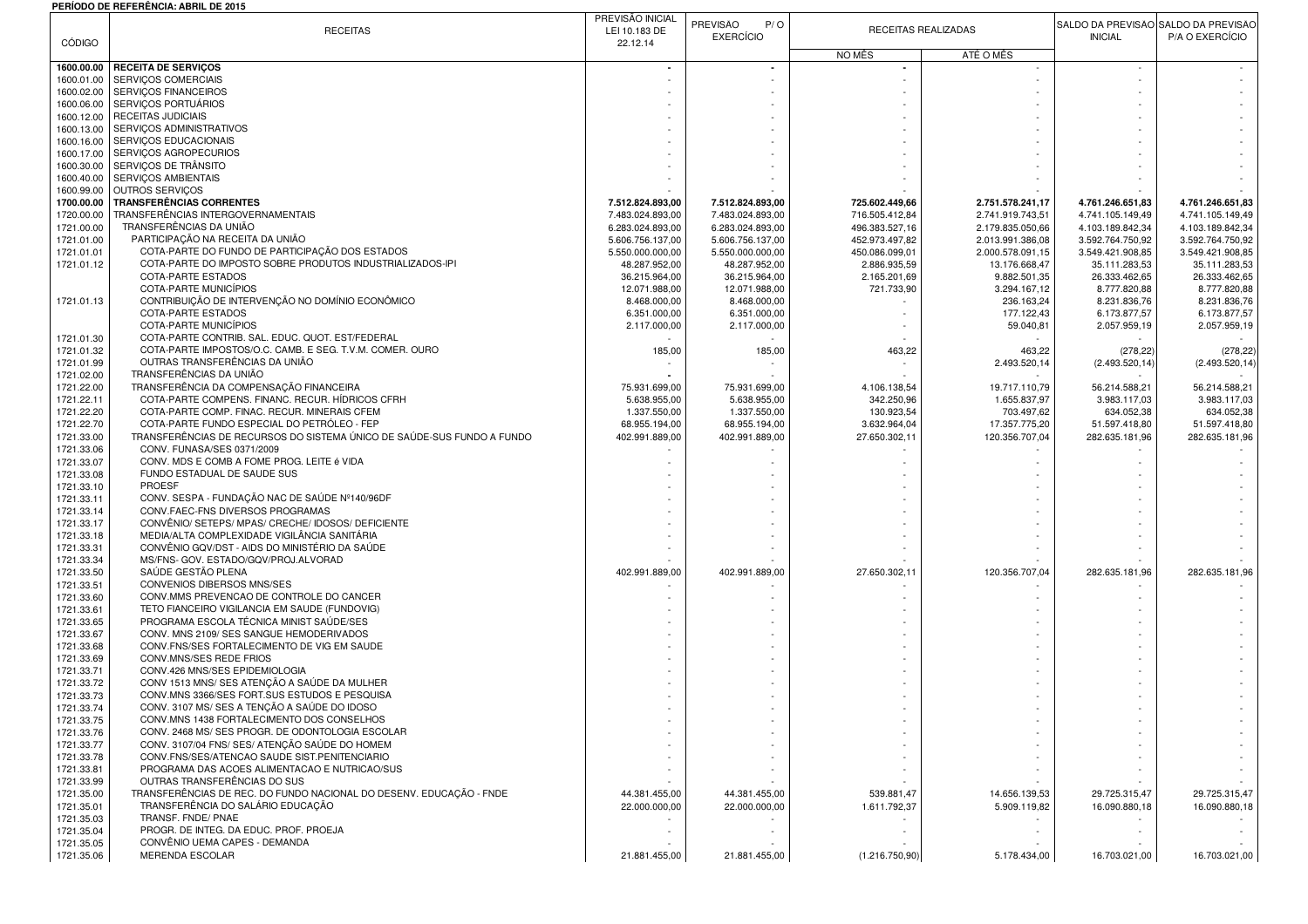## **PERÍODO DE REFERÊNCIA: ABRIL DE 2015**

|               |                                                                        | PREVISÃO INICIAL |                  |                |                     |                  |                                     |
|---------------|------------------------------------------------------------------------|------------------|------------------|----------------|---------------------|------------------|-------------------------------------|
|               | <b>RECEITAS</b>                                                        |                  | PREVISÃO<br>P/O  |                | RECEITAS REALIZADAS |                  | SALDO DA PREVISÃO SALDO DA PREVISÃO |
| <b>CÓDIGO</b> |                                                                        | LEI 10.183 DE    | <b>EXERCÍCIO</b> |                |                     | <b>INICIAL</b>   | P/A O EXERCÍCIO                     |
|               |                                                                        | 22.12.14         |                  | NO MÊS         | ATÉ O MÊS           |                  |                                     |
| 1600.00.00    | <b>RECEITA DE SERVIÇOS</b>                                             |                  |                  |                |                     |                  |                                     |
| 1600.01.00    | SERVIÇOS COMERCIAIS                                                    |                  |                  |                |                     |                  |                                     |
| 1600.02.00    | SERVIÇOS FINANCEIROS                                                   |                  |                  |                |                     |                  |                                     |
| 1600.06.00    | SERVICOS PORTUÁRIOS                                                    |                  |                  |                |                     |                  |                                     |
| 1600.12.00    | <b>RECEITAS JUDICIAIS</b>                                              |                  |                  |                |                     |                  |                                     |
| 1600.13.00    | SERVIÇOS ADMINISTRATIVOS                                               |                  |                  |                |                     |                  |                                     |
| 1600.16.00    | SERVIÇOS EDUCACIONAIS                                                  |                  |                  |                |                     |                  |                                     |
| 1600.17.00    | SERVIÇOS AGROPECURIOS                                                  |                  |                  |                |                     |                  |                                     |
|               |                                                                        |                  |                  |                |                     |                  |                                     |
| 1600.30.00    | SERVIÇOS DE TRÂNSITO                                                   |                  |                  |                |                     |                  |                                     |
| 1600.40.00    | SERVIÇOS AMBIENTAIS                                                    |                  |                  |                |                     |                  |                                     |
| 1600.99.00    | OUTROS SERVIÇOS                                                        |                  |                  |                |                     |                  |                                     |
| 1700.00.00    | <b>TRANSFERÊNCIAS CORRENTES</b>                                        | 7.512.824.893,00 | 7.512.824.893,00 | 725.602.449,66 | 2.751.578.241,17    | 4.761.246.651,83 | 4.761.246.651,83                    |
| 1720.00.00    | TRANSFERÊNCIAS INTERGOVERNAMENTAIS                                     | 7.483.024.893,00 | 7.483.024.893,00 | 716.505.412,84 | 2.741.919.743,51    | 4.741.105.149,49 | 4.741.105.149,49                    |
| 1721.00.00    | TRANSFERÊNCIAS DA UNIÃO                                                | 6.283.024.893,00 | 6.283.024.893,00 | 496.383.527,16 | 2.179.835.050,66    | 4.103.189.842,34 | 4.103.189.842,34                    |
| 1721.01.00    | PARTICIPAÇÃO NA RECEITA DA UNIÃO                                       | 5.606.756.137,00 | 5.606.756.137,00 | 452.973.497,82 | 2.013.991.386,08    | 3.592.764.750,92 | 3.592.764.750,92                    |
| 1721.01.01    | COTA-PARTE DO FUNDO DE PARTICIPAÇÃO DOS ESTADOS                        | 5.550.000.000,00 | 5.550.000.000,00 | 450.086.099,01 | 2.000.578.091,15    | 3.549.421.908,85 | 3.549.421.908,85                    |
| 1721.01.12    | COTA-PARTE DO IMPOSTO SOBRE PRODUTOS INDUSTRIALIZADOS-IPI              | 48.287.952,00    | 48.287.952,00    | 2.886.935,59   | 13.176.668,47       | 35.111.283,53    | 35.111.283,53                       |
|               | COTA-PARTE ESTADOS                                                     | 36.215.964,00    | 36.215.964,00    | 2.165.201,69   | 9.882.501,35        | 26.333.462,65    | 26.333.462,65                       |
|               | COTA-PARTE MUNICÍPIOS                                                  | 12.071.988,00    | 12.071.988,00    | 721.733,90     | 3.294.167,12        | 8.777.820,88     | 8.777.820,88                        |
| 1721.01.13    | CONTRIBUIÇÃO DE INTERVENÇÃO NO DOMÍNIO ECONÔMICO                       | 8.468.000,00     | 8.468.000,00     |                | 236.163,24          | 8.231.836,76     | 8.231.836,76                        |
|               | <b>COTA-PARTE ESTADOS</b>                                              | 6.351.000,00     | 6.351.000,00     |                | 177.122,43          | 6.173.877,57     | 6.173.877,57                        |
|               | COTA-PARTE MUNICÍPIOS                                                  | 2.117.000,00     | 2.117.000,00     |                | 59.040,81           | 2.057.959,19     | 2.057.959,19                        |
| 1721.01.30    | COTA-PARTE CONTRIB. SAL. EDUC. QUOT. EST/FEDERAL                       |                  |                  |                |                     |                  |                                     |
|               | COTA-PARTE IMPOSTOS/O.C. CAMB. E SEG. T.V.M. COMER. OURO               |                  |                  |                |                     |                  |                                     |
| 1721.01.32    |                                                                        | 185,00           | 185,00           | 463,22         | 463,22              | (278, 22)        | (278, 22)                           |
| 1721.01.99    | OUTRAS TRANSFERÊNCIAS DA UNIÃO                                         |                  |                  |                | 2.493.520,14        | (2.493.520, 14   | (2.493.520, 14)                     |
| 1721.02.00    | TRANSFERÊNCIAS DA UNIÃO                                                |                  |                  |                |                     |                  |                                     |
| 1721.22.00    | TRANSFERÊNCIA DA COMPENSAÇÃO FINANCEIRA                                | 75.931.699,00    | 75.931.699,00    | 4.106.138,54   | 19.717.110,79       | 56.214.588,21    | 56.214.588,21                       |
| 1721.22.11    | COTA-PARTE COMPENS. FINANC. RECUR. HÍDRICOS CFRH                       | 5.638.955,00     | 5.638.955,00     | 342.250,96     | 1.655.837,97        | 3.983.117,03     | 3.983.117.03                        |
| 1721.22.20    | COTA-PARTE COMP. FINAC. RECUR. MINERAIS CFEM                           | 1.337.550,00     | 1.337.550,00     | 130.923,54     | 703.497,62          | 634.052,38       | 634.052,38                          |
| 1721.22.70    | COTA-PARTE FUNDO ESPECIAL DO PETRÓLEO - FEP                            | 68.955.194,00    | 68.955.194,00    | 3.632.964,04   | 17.357.775,20       | 51.597.418,80    | 51.597.418,80                       |
| 1721.33.00    | TRANSFERÊNCIAS DE RECURSOS DO SISTEMA ÚNICO DE SAÚDE-SUS FUNDO A FUNDO | 402.991.889,00   | 402.991.889,00   | 27.650.302,11  | 120.356.707,04      | 282.635.181,96   | 282.635.181,96                      |
| 1721.33.06    | CONV. FUNASA/SES 0371/2009                                             |                  |                  |                |                     |                  |                                     |
| 1721.33.07    | CONV. MDS E COMB A FOME PROG. LEITE é VIDA                             |                  |                  |                |                     |                  |                                     |
| 1721.33.08    | FUNDO ESTADUAL DE SAUDE SUS                                            |                  |                  |                |                     |                  |                                     |
| 1721.33.10    | <b>PROESF</b>                                                          |                  |                  |                |                     |                  |                                     |
| 1721.33.11    | CONV. SESPA - FUNDAÇÃO NAC DE SAÚDE Nº140/96DF                         |                  |                  |                |                     |                  |                                     |
| 1721.33.14    | CONV.FAEC-FNS DIVERSOS PROGRAMAS                                       |                  |                  |                |                     |                  |                                     |
| 1721.33.17    | CONVÊNIO/ SETEPS/ MPAS/ CRECHE/ IDOSOS/ DEFICIENTE                     |                  |                  |                |                     |                  |                                     |
|               |                                                                        |                  |                  |                |                     |                  |                                     |
| 1721.33.18    | MEDIA/ALTA COMPLEXIDADE VIGILÂNCIA SANITÁRIA                           |                  |                  |                |                     |                  |                                     |
| 1721.33.31    | CONVÊNIO GQV/DST - AIDS DO MINISTÉRIO DA SAÚDE                         |                  |                  |                |                     |                  |                                     |
| 1721.33.34    | MS/FNS- GOV. ESTADO/GQV/PROJ.ALVORAD                                   |                  |                  |                |                     |                  |                                     |
| 1721.33.50    | SAÚDE GESTÃO PLENA                                                     | 402.991.889,00   | 402.991.889,00   | 27.650.302,11  | 120.356.707,04      | 282.635.181,96   | 282.635.181,96                      |
| 1721.33.51    | CONVENIOS DIBERSOS MNS/SES                                             |                  |                  |                |                     |                  |                                     |
| 1721.33.60    | CONV.MMS PREVENCAO DE CONTROLE DO CANCER                               |                  |                  |                |                     |                  |                                     |
| 1721.33.61    | TETO FIANCEIRO VIGILANCIA EM SAUDE (FUNDOVIG)                          |                  |                  |                |                     |                  |                                     |
| 1721.33.65    | PROGRAMA ESCOLA TÉCNICA MINIST SAÚDE/SES                               |                  |                  |                |                     |                  |                                     |
| 1721.33.67    | CONV. MNS 2109/ SES SANGUE HEMODERIVADOS                               |                  |                  |                |                     |                  |                                     |
| 1721.33.68    | CONV.FNS/SES FORTALECIMENTO DE VIG EM SAUDE                            |                  |                  |                |                     |                  |                                     |
| 1721.33.69    | CONV.MNS/SES REDE FRIOS                                                |                  |                  |                |                     |                  |                                     |
| 1721.33.71    | CONV.426 MNS/SES EPIDEMIOLOGIA                                         |                  |                  |                |                     |                  |                                     |
| 1721.33.72    | CONV 1513 MNS/ SES ATENÇÃO A SAÚDE DA MULHER                           |                  |                  |                |                     |                  |                                     |
| 1721.33.73    | CONV.MNS 3366/SES FORT.SUS ESTUDOS E PESQUISA                          |                  |                  |                |                     |                  |                                     |
| 1721.33.74    | CONV. 3107 MS/ SES A TENÇÃO A SAÚDE DO IDOSO                           |                  |                  |                |                     |                  |                                     |
| 1721.33.75    | CONV.MNS 1438 FORTALECIMENTO DOS CONSELHOS                             |                  |                  |                |                     |                  |                                     |
| 1721.33.76    | CONV. 2468 MS/ SES PROGR. DE ODONTOLOGIA ESCOLAR                       |                  |                  |                |                     |                  |                                     |
| 1721.33.77    | CONV. 3107/04 FNS/ SES/ ATENÇÃO SAÚDE DO HOMEM                         |                  |                  |                |                     |                  |                                     |
| 1721.33.78    | CONV.FNS/SES/ATENCAO SAUDE SIST.PENITENCIARIO                          |                  |                  |                |                     |                  |                                     |
| 1721.33.81    | PROGRAMA DAS ACOES ALIMENTACAO E NUTRICAO/SUS                          |                  |                  |                |                     |                  |                                     |
|               | OUTRAS TRANSFERÊNCIAS DO SUS                                           |                  |                  |                |                     |                  |                                     |
| 1721.33.99    | TRANSFERÊNCIAS DE REC. DO FUNDO NACIONAL DO DESENV. EDUCAÇÃO - FNDE    |                  |                  |                |                     |                  |                                     |
| 1721.35.00    | TRANSFERÊNCIA DO SALÁRIO EDUCAÇÃO                                      | 44.381.455,00    | 44.381.455,00    | 539.881,47     | 14.656.139,53       | 29.725.315,47    | 29.725.315,47                       |
| 1721.35.01    |                                                                        | 22.000.000,00    | 22.000.000,00    | 1.611.792,37   | 5.909.119.82        | 16.090.880,18    | 16.090.880,18                       |
| 1721.35.03    | TRANSF. FNDE/ PNAE                                                     |                  |                  |                |                     |                  |                                     |
| 1721.35.04    | PROGR. DE INTEG. DA EDUC. PROF. PROEJA                                 |                  |                  |                |                     |                  |                                     |
| 1721.35.05    | CONVÊNIO UEMA CAPES - DEMANDA                                          |                  |                  |                |                     |                  |                                     |
| 1721.35.06    | <b>MERENDA ESCOLAR</b>                                                 | 21.881.455,00    | 21.881.455,00    | (1.216.750,90) | 5.178.434,00        | 16.703.021,00    | 16.703.021,00                       |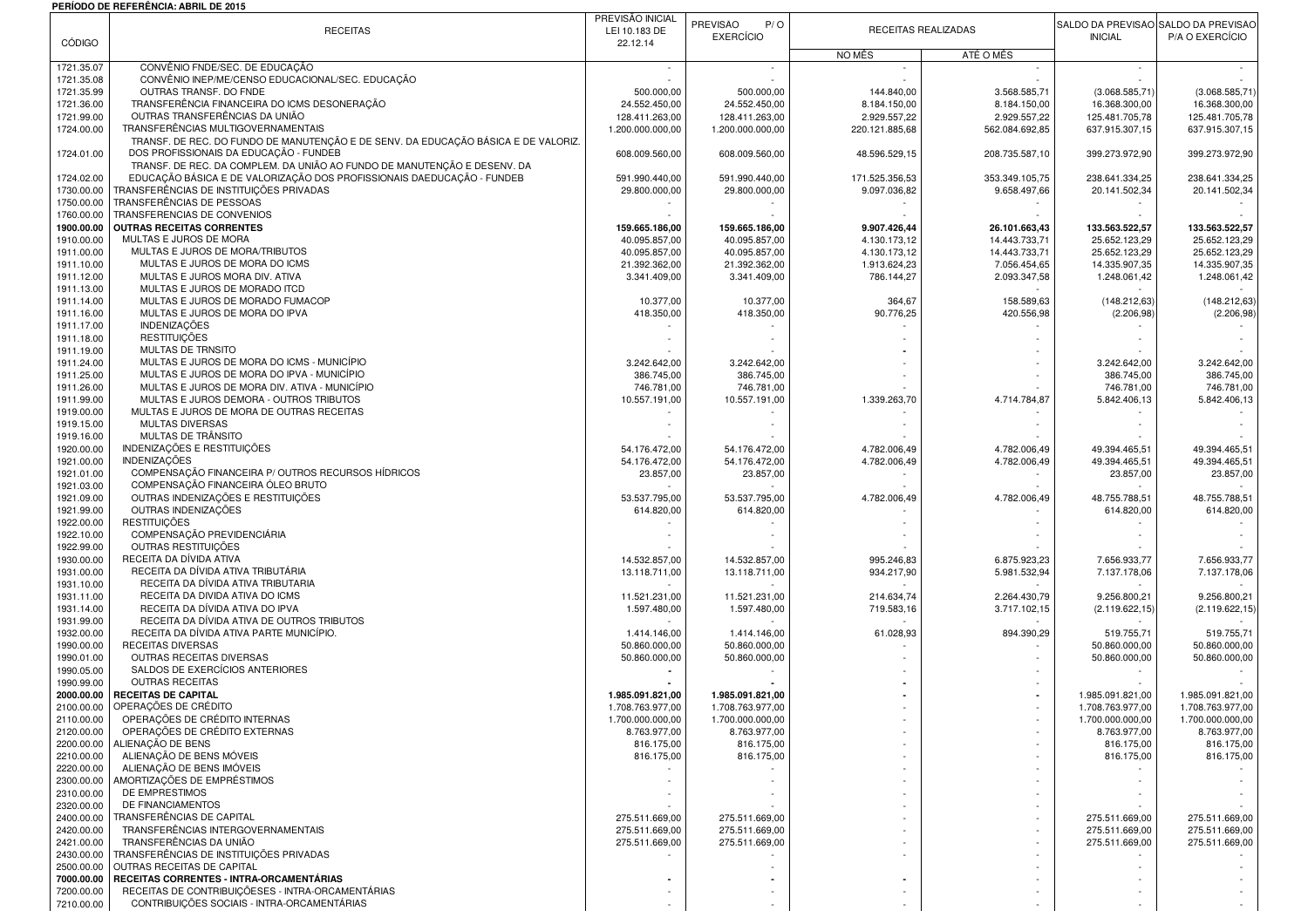## **PERÍODO DE REFERÊNCIA: ABRIL DE 2015**

|                          | <b>RECEITAS</b>                                                                                                   | PREVISÃO INICIAL<br>LEI 10.183 DE    | PREVISÃO<br>P/O<br><b>EXERCÍCIO</b>  | RECEITAS REALIZADAS            |                              | <b>INICIAL</b>                       | SALDO DA PREVISÃO SALDO DA PREVISÃO<br>P/A O EXERCÍCIO |
|--------------------------|-------------------------------------------------------------------------------------------------------------------|--------------------------------------|--------------------------------------|--------------------------------|------------------------------|--------------------------------------|--------------------------------------------------------|
| <b>CÓDIGO</b>            |                                                                                                                   | 22.12.14                             |                                      | NO MÊS                         | ATÉ O MÊS                    |                                      |                                                        |
| 1721.35.07               | CONVÊNIO FNDE/SEC. DE EDUCAÇÃO                                                                                    |                                      |                                      |                                |                              |                                      |                                                        |
| 1721.35.08<br>1721.35.99 | CONVÊNIO INEP/ME/CENSO EDUCACIONAL/SEC. EDUCAÇÃO<br>OUTRAS TRANSF. DO FNDE                                        | 500.000,00                           | 500.000,00                           | 144.840,00                     | 3.568.585,71                 | (3.068.585,71)                       | (3.068.585, 71                                         |
| 1721.36.00               | TRANSFERÊNCIA FINANCEIRA DO ICMS DESONERAÇÃO                                                                      | 24.552.450,00                        | 24.552.450,00                        | 8.184.150,00                   | 8.184.150,00                 | 16.368.300,00                        | 16.368.300,00                                          |
| 1721.99.00               | OUTRAS TRANSFERÊNCIAS DA UNIÃO                                                                                    | 128.411.263.00                       | 128.411.263,00                       | 2.929.557,22                   | 2.929.557,22                 | 125.481.705,78                       | 125.481.705,78                                         |
| 1724.00.00               | TRANSFERÊNCIAS MULTIGOVERNAMENTAIS                                                                                | 1.200.000.000,00                     | 1.200.000.000,00                     | 220.121.885,68                 | 562.084.692,85               | 637.915.307,15                       | 637.915.307,15                                         |
|                          | TRANSF. DE REC. DO FUNDO DE MANUTENÇÃO E DE SENV. DA EDUCAÇÃO BÁSICA E DE VALORIZ.                                |                                      |                                      |                                |                              |                                      |                                                        |
| 1724.01.00               | DOS PROFISSIONAIS DA EDUCAÇÃO - FUNDEB                                                                            | 608.009.560,00                       | 608.009.560,00                       | 48.596.529,15                  | 208.735.587,10               | 399.273.972,90                       | 399.273.972,90                                         |
|                          | TRANSF. DE REC. DA COMPLEM. DA UNIÃO AO FUNDO DE MANUTENÇÃO E DESENV. DA                                          |                                      |                                      |                                | 353.349.105.75               |                                      |                                                        |
| 1724.02.00<br>1730.00.00 | EDUCAÇÃO BÁSICA E DE VALORIZAÇÃO DOS PROFISSIONAIS DAEDUCAÇÃO - FUNDEB<br>TRANSFERÊNCIAS DE INSTITUICÕES PRIVADAS | 591.990.440,00<br>29.800.000,00      | 591.990.440,00<br>29.800.000,00      | 171.525.356,53<br>9.097.036,82 | 9.658.497,66                 | 238.641.334,25<br>20.141.502,34      | 238.641.334,25<br>20.141.502,34                        |
| 1750.00.00               | TRANSFERÊNCIAS DE PESSOAS                                                                                         |                                      |                                      |                                |                              |                                      |                                                        |
| 1760.00.00               | TRANSFERENCIAS DE CONVENIOS                                                                                       |                                      |                                      |                                |                              |                                      |                                                        |
| 1900.00.00               | OUTRAS RECEITAS CORRENTES                                                                                         | 159.665.186,00                       | 159.665.186,00                       | 9.907.426,44                   | 26.101.663,43                | 133.563.522,57                       | 133.563.522,57                                         |
| 1910.00.00               | MULTAS E JUROS DE MORA                                                                                            | 40.095.857,00                        | 40.095.857,00                        | 4.130.173.12                   | 14.443.733,71                | 25.652.123.29                        | 25.652.123,29                                          |
| 1911.00.00               | MULTAS E JUROS DE MORA/TRIBUTOS                                                                                   | 40.095.857,00                        | 40.095.857,00                        | 4.130.173,12                   | 14.443.733,71                | 25.652.123,29                        | 25.652.123,29                                          |
| 1911.10.00               | MULTAS E JUROS DE MORA DO ICMS                                                                                    | 21.392.362,00                        | 21.392.362,00                        | 1.913.624,23                   | 7.056.454,65                 | 14.335.907,35                        | 14.335.907,35                                          |
| 1911.12.00<br>1911.13.00 | MULTAS E JUROS MORA DIV. ATIVA<br>MULTAS E JUROS DE MORADO ITCD                                                   | 3.341.409,00                         | 3.341.409,00                         | 786.144,27                     | 2.093.347,58                 | 1.248.061,42                         | 1.248.061,42                                           |
| 1911.14.00               | MULTAS E JUROS DE MORADO FUMACOP                                                                                  | 10.377,00                            | 10.377,00                            | 364,67                         | 158.589,63                   | (148.212, 63)                        | (148.212, 63)                                          |
| 1911.16.00               | MULTAS E JUROS DE MORA DO IPVA                                                                                    | 418.350,00                           | 418.350,00                           | 90.776,25                      | 420.556,98                   | (2.206, 98)                          | (2.206, 98)                                            |
| 1911.17.00               | <b>INDENIZAÇÕES</b>                                                                                               |                                      |                                      |                                |                              |                                      |                                                        |
| 1911.18.00               | <b>RESTITUICÕES</b>                                                                                               |                                      |                                      |                                |                              |                                      |                                                        |
| 1911.19.00               | <b>MULTAS DE TRNSITO</b>                                                                                          |                                      |                                      |                                |                              |                                      |                                                        |
| 1911.24.00               | MULTAS E JUROS DE MORA DO ICMS - MUNICÍPIO                                                                        | 3.242.642,00                         | 3.242.642,00                         |                                |                              | 3.242.642,00                         | 3.242.642,00                                           |
| 1911.25.00               | MULTAS E JUROS DE MORA DO IPVA - MUNICÍPIO                                                                        | 386.745,00                           | 386.745,00                           |                                |                              | 386.745,00                           | 386.745,00                                             |
| 1911.26.00<br>1911.99.00 | MULTAS E JUROS DE MORA DIV. ATIVA - MUNICÍPIO<br>MULTAS E JUROS DEMORA - OUTROS TRIBUTOS                          | 746.781,00                           | 746.781,00                           |                                |                              | 746.781,00                           | 746.781,00                                             |
| 1919.00.00               | MULTAS E JUROS DE MORA DE OUTRAS RECEITAS                                                                         | 10.557.191,00                        | 10.557.191,00                        | 1.339.263,70                   | 4.714.784,87                 | 5.842.406,13                         | 5.842.406,13                                           |
| 1919.15.00               | <b>MULTAS DIVERSAS</b>                                                                                            |                                      |                                      |                                |                              |                                      |                                                        |
| 1919.16.00               | MULTAS DE TRÂNSITO                                                                                                |                                      |                                      |                                |                              |                                      |                                                        |
| 1920.00.00               | INDENIZAÇÕES E RESTITUIÇÕES                                                                                       | 54.176.472.00                        | 54.176.472,00                        | 4.782.006,49                   | 4.782.006,49                 | 49.394.465,51                        | 49.394.465.51                                          |
| 1921.00.00               | <b>INDENIZAÇÕES</b>                                                                                               | 54.176.472.00                        | 54.176.472,00                        | 4.782.006,49                   | 4.782.006,49                 | 49.394.465,51                        | 49.394.465.51                                          |
| 1921.01.00               | COMPENSAÇÃO FINANCEIRA P/ OUTROS RECURSOS HÍDRICOS                                                                | 23.857,00                            | 23.857,00                            |                                |                              | 23.857,00                            | 23.857,00                                              |
| 1921.03.00               | COMPENSAÇÃO FINANCEIRA ÓLEO BRUTO<br>OUTRAS INDENIZAÇÕES E RESTITUIÇÕES                                           |                                      |                                      |                                |                              |                                      |                                                        |
| 1921.09.00<br>1921.99.00 | OUTRAS INDENIZAÇÕES                                                                                               | 53.537.795,00<br>614.820,00          | 53.537.795,00<br>614.820,00          | 4.782.006,49                   | 4.782.006,49                 | 48.755.788,51<br>614.820,00          | 48.755.788,51<br>614.820,00                            |
| 1922.00.00               | <b>RESTITUICÕES</b>                                                                                               |                                      |                                      |                                |                              |                                      |                                                        |
| 1922.10.00               | COMPENSAÇÃO PREVIDENCIÁRIA                                                                                        |                                      |                                      |                                |                              |                                      |                                                        |
| 1922.99.00               | OUTRAS RESTITUIÇÕES                                                                                               |                                      |                                      |                                |                              |                                      |                                                        |
| 1930.00.00               | RECEITA DA DÍVIDA ATIVA                                                                                           | 14.532.857,00                        | 14.532.857,00                        | 995.246,83                     | 6.875.923,23                 | 7.656.933,77                         | 7.656.933,77                                           |
| 1931.00.00               | RECEITA DA DÍVIDA ATIVA TRIBUTÁRIA                                                                                | 13.118.711,00                        | 13.118.711,00                        | 934.217,90                     | 5.981.532,94                 | 7.137.178,06                         | 7.137.178,06                                           |
| 1931.10.00               | RECEITA DA DÍVIDA ATIVA TRIBUTARIA<br>RECEITA DA DIVIDA ATIVA DO ICMS                                             |                                      |                                      |                                |                              |                                      |                                                        |
| 1931.11.00<br>1931.14.00 | RECEITA DA DÍVIDA ATIVA DO IPVA                                                                                   | 11.521.231,00<br>1.597.480,00        | 11.521.231,00<br>1.597.480,00        | 214.634,74<br>719.583,16       | 2.264.430,79<br>3.717.102,15 | 9.256.800,21<br>(2.119.622, 15       | 9.256.800,21<br>(2.119.622, 15                         |
| 1931.99.00               | RECEITA DA DÍVIDA ATIVA DE OUTROS TRIBUTOS                                                                        |                                      |                                      |                                |                              |                                      |                                                        |
| 1932.00.00               | RECEITA DA DÍVIDA ATIVA PARTE MUNICÍPIO.                                                                          | 1.414.146.00                         | 1.414.146,00                         | 61.028,93                      | 894.390,29                   | 519.755,71                           | 519.755,71                                             |
| 1990.00.00               | RECEITAS DIVERSAS                                                                                                 | 50.860.000,00                        | 50.860.000,00                        |                                |                              | 50.860.000,00                        | 50.860.000,00                                          |
| 1990.01.00               | OUTRAS RECEITAS DIVERSAS                                                                                          | 50.860.000,00                        | 50.860.000,00                        |                                |                              | 50.860.000,00                        | 50.860.000,00                                          |
| 1990.05.00               | SALDOS DE EXERCÍCIOS ANTERIORES                                                                                   |                                      |                                      |                                |                              |                                      |                                                        |
| 1990.99.00               | <b>OUTRAS RECEITAS</b>                                                                                            |                                      |                                      |                                |                              |                                      |                                                        |
| 2000.00.00<br>2100.00.00 | <b>RECEITAS DE CAPITAL</b><br>OPERAÇÕES DE CRÉDITO                                                                | 1.985.091.821,00<br>1.708.763.977,00 | 1.985.091.821,00<br>1.708.763.977,00 |                                |                              | 1.985.091.821,00<br>1.708.763.977,00 | 1.985.091.821,00<br>1.708.763.977,00                   |
| 2110.00.00               | OPERAÇÕES DE CRÉDITO INTERNAS                                                                                     | 1.700.000.000,00                     | 1.700.000.000,00                     |                                |                              | 1.700.000.000,00                     | 1.700.000.000,00                                       |
| 2120.00.00               | OPERAÇÕES DE CRÉDITO EXTERNAS                                                                                     | 8.763.977,00                         | 8.763.977,00                         |                                |                              | 8.763.977,00                         | 8.763.977,00                                           |
| 2200.00.00               | ALIENAÇÃO DE BENS                                                                                                 | 816.175,00                           | 816.175,00                           |                                |                              | 816.175,00                           | 816.175,00                                             |
| 2210.00.00               | ALIENAÇÃO DE BENS MÓVEIS                                                                                          | 816.175,00                           | 816.175,00                           |                                |                              | 816.175,00                           | 816.175,00                                             |
| 2220.00.00               | ALIENAÇÃO DE BENS IMÓVEIS                                                                                         |                                      |                                      |                                |                              |                                      |                                                        |
| 2300.00.00<br>2310.00.00 | AMORTIZAÇÕES DE EMPRÉSTIMOS<br>DE EMPRESTIMOS                                                                     |                                      |                                      |                                |                              |                                      |                                                        |
| 2320.00.00               | DE FINANCIAMENTOS                                                                                                 |                                      |                                      |                                |                              |                                      |                                                        |
| 2400.00.00               | TRANSFERÊNCIAS DE CAPITAL                                                                                         | 275.511.669,00                       | 275.511.669,00                       |                                |                              | 275.511.669,00                       | 275.511.669,00                                         |
| 2420.00.00               | TRANSFERÊNCIAS INTERGOVERNAMENTAIS                                                                                | 275.511.669,00                       | 275.511.669,00                       |                                |                              | 275.511.669,00                       | 275.511.669,00                                         |
| 2421.00.00               | TRANSFERÊNCIAS DA UNIÃO                                                                                           | 275.511.669,00                       | 275.511.669,00                       |                                |                              | 275.511.669,00                       | 275.511.669,00                                         |
| 2430.00.00               | TRANSFERÊNCIAS DE INSTITUIÇÕES PRIVADAS                                                                           |                                      |                                      |                                |                              |                                      |                                                        |
| 2500.00.00               | OUTRAS RECEITAS DE CAPITAL                                                                                        |                                      |                                      |                                |                              |                                      |                                                        |
| 7000.00.00               | RECEITAS CORRENTES - INTRA-ORCAMENTÁRIAS                                                                          |                                      |                                      |                                |                              |                                      |                                                        |
| 7200.00.00<br>7210.00.00 | RECEITAS DE CONTRIBUIÇÕESES - INTRA-ORCAMENTÁRIAS<br>CONTRIBUICÕES SOCIAIS - INTRA-ORCAMENTÁRIAS                  |                                      |                                      |                                |                              |                                      |                                                        |
|                          |                                                                                                                   |                                      |                                      |                                |                              |                                      |                                                        |